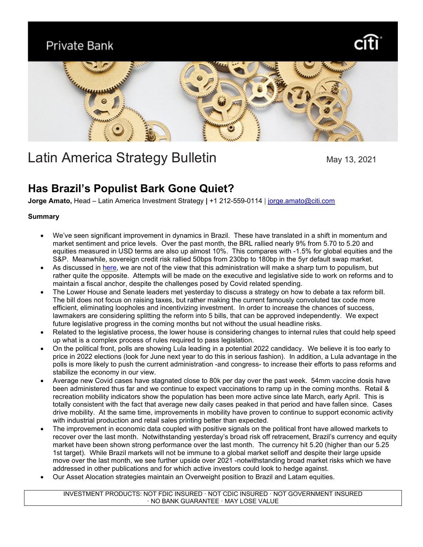Private Bank





# Latin America Strategy Bulletin May 13, 2021

# **Has Brazil's Populist Bark Gone Quiet?**

**Jorge Amato,** Head – Latin America Investment Strategy **|** +1 212-559-0114 | [jorge.amato@citi.com](mailto:jorge.amato@citi.com)

# **Summary**

- We've seen significant improvement in dynamics in Brazil. These have translated in a shift in momentum and market sentiment and price levels. Over the past month, the BRL rallied nearly 9% from 5.70 to 5.20 and equities measured in USD terms are also up almost 10%. This compares with -1.5% for global equities and the S&P. Meanwhile, sovereign credit risk rallied 50bps from 230bp to 180bp in the 5yr default swap market.
- As discussed in [here,](file://Namicgdfs/gco_home$/RUT/ja12722/Work%20files/Publications/Approved/LATAM_Strategy_0322.pdf) we are not of the view that this administration will make a sharp turn to populism, but rather quite the opposite. Attempts will be made on the executive and legislative side to work on reforms and to maintain a fiscal anchor, despite the challenges posed by Covid related spending.
- The Lower House and Senate leaders met yesterday to discuss a strategy on how to debate a tax reform bill. The bill does not focus on raising taxes, but rather making the current famously convoluted tax code more efficient, eliminating loopholes and incentivizing investment. In order to increase the chances of success, lawmakers are considering splitting the reform into 5 bills, that can be approved independently. We expect future legislative progress in the coming months but not without the usual headline risks.
- Related to the legislative process, the lower house is considering changes to internal rules that could help speed up what is a complex process of rules required to pass legislation.
- On the political front, polls are showing Lula leading in a potential 2022 candidacy. We believe it is too early to price in 2022 elections (look for June next year to do this in serious fashion). In addition, a Lula advantage in the polls is more likely to push the current administration -and congress- to increase their efforts to pass reforms and stabilize the economy in our view.
- Average new Covid cases have stagnated close to 80k per day over the past week. 54mm vaccine dosis have been administered thus far and we continue to expect vaccinations to ramp up in the coming months. Retail & recreation mobility indicators show the population has been more active since late March, early April. This is totally consistent with the fact that average new daily cases peaked in that period and have fallen since. Cases drive mobility. At the same time, improvements in mobility have proven to continue to support economic activity with industrial production and retail sales printing better than expected.
- The improvement in economic data coupled with positive signals on the political front have allowed markets to recover over the last month. Notwithstanding yesterday's broad risk off retracement, Brazil's currency and equity market have been shown strong performance over the last month. The currency hit 5.20 (higher than our 5.25 1st target). While Brazil markets will not be immune to a global market selloff and despite their large upside move over the last month, we see further upside over 2021 -notwithstanding broad market risks which we have addressed in other publications and for which active investors could look to hedge against.
- Our Asset Alocation strategies maintain an Overweight position to Brazil and Latam equities.

INVESTMENT PRODUCTS: NOT FDIC INSURED · NOT CDIC INSURED · NOT GOVERNMENT INSURED · NO BANK GUARANTEE · MAY LOSE VALUE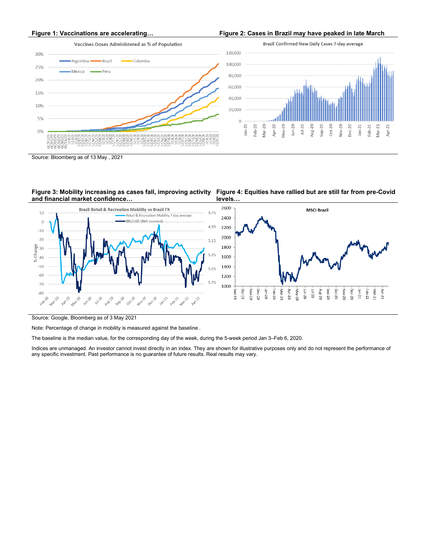- Brazil

-<br>Peru

Argentina  $\blacksquare$ 

Mexico

 $30%$ 

25%

20%

15%

10%

5%

 $0%$ 

n N P

## **Figure 1: Vaccinations are accelerating… Figure 2: Cases in Brazil may have peaked in late March**

Vaccines Doses Administered as % of Population

-Colombia

Brazil Confirmed New Daily Cases 7-day average



**Figure 4: Equities have rallied but are still far from pre-Covid** 

Source: Bloomberg as of 13 May , 2021

**Figure 3: Mobility increasing as cases fall, improving activity and financial market confidence…**

<u> กัททีทีที่</u>



**levels…**

Source: Google, Bloomberg as of 3 May 2021

Note: Percentage of change in mobility is measured against the baseline .

The baseline is the median value, for the corresponding day of the week, during the 5-week period Jan 3–Feb 6, 2020.

Indices are unmanaged. An investor cannot invest directly in an index. They are shown for illustrative purposes only and do not represent the performance of any specific investment. Past performance is no guarantee of future results. Real results may vary.